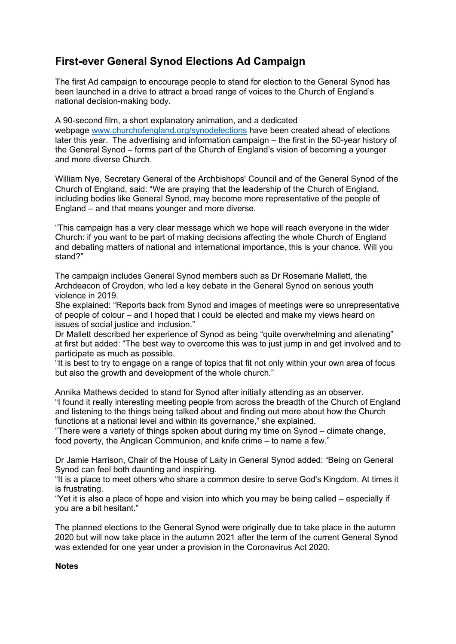## **First-ever General Synod Elections Ad Campaign**

The first Ad campaign to encourage people to stand for election to the General Synod has been launched in a drive to attract a broad range of voices to the Church of England's national decision-making body.

A 90-second film, a short explanatory animation, and a dedicated webpage [www.churchofengland.org/synodelections](http://www.churchofengland.org/synodelections) have been created ahead of elections later this year. The advertising and information campaign – the first in the 50-year history of the General Synod – forms part of the Church of England's vision of becoming a younger and more diverse Church.

William Nye, Secretary General of the Archbishops' Council and of the General Synod of the Church of England, said: "We are praying that the leadership of the Church of England, including bodies like General Synod, may become more representative of the people of England – and that means younger and more diverse.

"This campaign has a very clear message which we hope will reach everyone in the wider Church: if you want to be part of making decisions affecting the whole Church of England and debating matters of national and international importance, this is your chance. Will you stand?"

The campaign includes General Synod members such as Dr Rosemarie Mallett, the Archdeacon of Croydon, who led a key debate in the General Synod on serious youth violence in 2019.

She explained: "Reports back from Synod and images of meetings were so unrepresentative of people of colour – and I hoped that I could be elected and make my views heard on issues of social justice and inclusion."

Dr Mallett described her experience of Synod as being "quite overwhelming and alienating" at first but added: "The best way to overcome this was to just jump in and get involved and to participate as much as possible.

"It is best to try to engage on a range of topics that fit not only within your own area of focus but also the growth and development of the whole church."

Annika Mathews decided to stand for Synod after initially attending as an observer. "I found it really interesting meeting people from across the breadth of the Church of England and listening to the things being talked about and finding out more about how the Church functions at a national level and within its governance," she explained.

"There were a variety of things spoken about during my time on Synod – climate change, food poverty, the Anglican Communion, and knife crime – to name a few."

Dr Jamie Harrison, Chair of the House of Laity in General Synod added: "Being on General Synod can feel both daunting and inspiring.

"It is a place to meet others who share a common desire to serve God's Kingdom. At times it is frustrating.

"Yet it is also a place of hope and vision into which you may be being called – especially if you are a bit hesitant."

The planned elections to the General Synod were originally due to take place in the autumn 2020 but will now take place in the autumn 2021 after the term of the current General Synod was extended for one year under a provision in the Coronavirus Act 2020.

## **Notes**